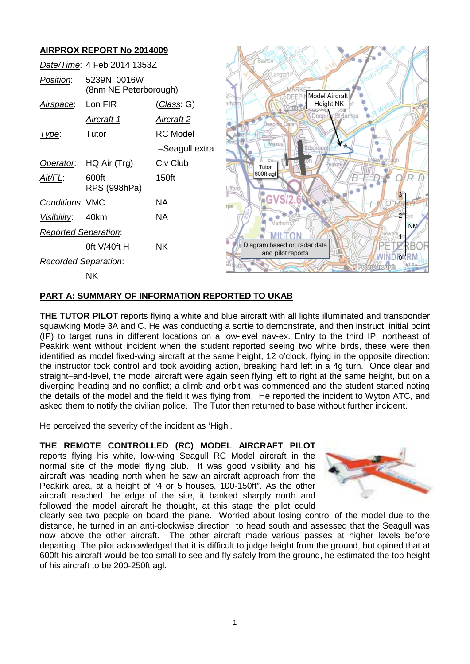# **AIRPROX REPORT No 2014009**

| AIRFRUA REFURT NO ZUT4009   |                                      |                    |                                                   |
|-----------------------------|--------------------------------------|--------------------|---------------------------------------------------|
| Date/Time: 4 Feb 2014 1353Z |                                      |                    | Baston                                            |
| Position:                   | 5239N 0016W<br>(8nm NE Peterborough) |                    | uthio<br>angto:<br><b>Model Aircraft</b><br>DEFPI |
| Airspace:                   | Lon FIR                              | <u>(Class</u> : G) | <b>Height NK</b>                                  |
|                             | <b>Aircraft 1</b>                    | <u>Aircraft 2</u>  | eer                                               |
| Type:                       | Tutor                                | <b>RC</b> Model    |                                                   |
|                             |                                      | -Seagull extra     | Maxe                                              |
| Operator.                   | HQ Air (Trg)                         | Civ Club           | Tutor                                             |
| Alt/FL:                     | 600ft<br>RPS (998hPa)                | 150ft              | 600ft agl                                         |
| <b>Conditions: VMC</b>      |                                      | <b>NA</b>          | GVS/2                                             |
| Visibility:                 | 40km                                 | <b>NA</b>          | Marholm                                           |
| <b>Reported Separation:</b> |                                      |                    | <b>NM</b>                                         |
|                             | Oft V/40ft H                         | <b>NK</b>          | Diagram based on radar data<br>and pilot reports  |
| <b>Recorded Separation:</b> |                                      |                    |                                                   |
|                             | NK.                                  |                    |                                                   |

## **PART A: SUMMARY OF INFORMATION REPORTED TO UKAB**

**THE TUTOR PILOT** reports flying a white and blue aircraft with all lights illuminated and transponder squawking Mode 3A and C. He was conducting a sortie to demonstrate, and then instruct, initial point (IP) to target runs in different locations on a low-level nav-ex. Entry to the third IP, northeast of Peakirk went without incident when the student reported seeing two white birds, these were then identified as model fixed-wing aircraft at the same height, 12 o'clock, flying in the opposite direction: the instructor took control and took avoiding action, breaking hard left in a 4g turn. Once clear and straight–and-level, the model aircraft were again seen flying left to right at the same height, but on a diverging heading and no conflict; a climb and orbit was commenced and the student started noting the details of the model and the field it was flying from. He reported the incident to Wyton ATC, and asked them to notify the civilian police. The Tutor then returned to base without further incident.

He perceived the severity of the incident as 'High'.

**THE REMOTE CONTROLLED (RC) MODEL AIRCRAFT PILOT** reports flying his white, low-wing Seagull RC Model aircraft in the normal site of the model flying club. It was good visibility and his aircraft was heading north when he saw an aircraft approach from the Peakirk area, at a height of "4 or 5 houses, 100-150ft". As the other aircraft reached the edge of the site, it banked sharply north and followed the model aircraft he thought, at this stage the pilot could



clearly see two people on board the plane. Worried about losing control of the model due to the distance, he turned in an anti-clockwise direction to head south and assessed that the Seagull was now above the other aircraft. The other aircraft made various passes at higher levels before departing. The pilot acknowledged that it is difficult to judge height from the ground, but opined that at 600ft his aircraft would be too small to see and fly safely from the ground, he estimated the top height of his aircraft to be 200-250ft agl.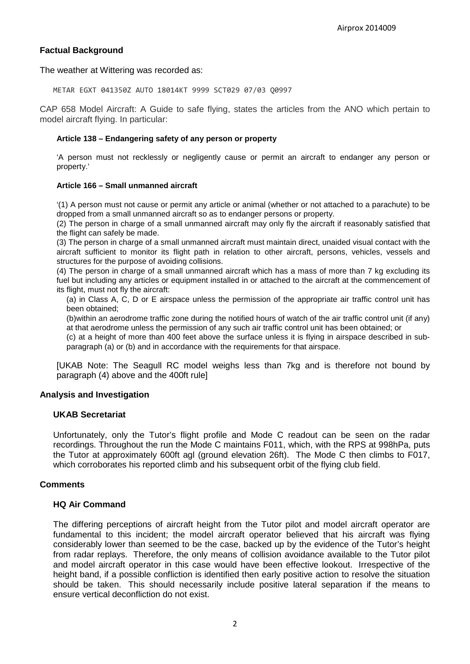## **Factual Background**

The weather at Wittering was recorded as:

METAR EGXT 041350Z AUTO 18014KT 9999 SCT029 07/03 Q0997

CAP 658 Model Aircraft: A Guide to safe flying, states the articles from the ANO which pertain to model aircraft flying. In particular:

#### **Article 138 – Endangering safety of any person or property**

'A person must not recklessly or negligently cause or permit an aircraft to endanger any person or property.'

#### **Article 166 – Small unmanned aircraft**

'(1) A person must not cause or permit any article or animal (whether or not attached to a parachute) to be dropped from a small unmanned aircraft so as to endanger persons or property.

(2) The person in charge of a small unmanned aircraft may only fly the aircraft if reasonably satisfied that the flight can safely be made.

(3) The person in charge of a small unmanned aircraft must maintain direct, unaided visual contact with the aircraft sufficient to monitor its flight path in relation to other aircraft, persons, vehicles, vessels and structures for the purpose of avoiding collisions.

(4) The person in charge of a small unmanned aircraft which has a mass of more than 7 kg excluding its fuel but including any articles or equipment installed in or attached to the aircraft at the commencement of its flight, must not fly the aircraft:

(a) in Class A, C, D or E airspace unless the permission of the appropriate air traffic control unit has been obtained;

(b)within an aerodrome traffic zone during the notified hours of watch of the air traffic control unit (if any) at that aerodrome unless the permission of any such air traffic control unit has been obtained; or

(c) at a height of more than 400 feet above the surface unless it is flying in airspace described in subparagraph (a) or (b) and in accordance with the requirements for that airspace.

[UKAB Note: The Seagull RC model weighs less than 7kg and is therefore not bound by paragraph (4) above and the 400ft rule]

#### **Analysis and Investigation**

#### **UKAB Secretariat**

Unfortunately, only the Tutor's flight profile and Mode C readout can be seen on the radar recordings. Throughout the run the Mode C maintains F011, which, with the RPS at 998hPa, puts the Tutor at approximately 600ft agl (ground elevation 26ft). The Mode C then climbs to F017, which corroborates his reported climb and his subsequent orbit of the flying club field.

#### **Comments**

## **HQ Air Command**

The differing perceptions of aircraft height from the Tutor pilot and model aircraft operator are fundamental to this incident; the model aircraft operator believed that his aircraft was flying considerably lower than seemed to be the case, backed up by the evidence of the Tutor's height from radar replays. Therefore, the only means of collision avoidance available to the Tutor pilot and model aircraft operator in this case would have been effective lookout. Irrespective of the height band, if a possible confliction is identified then early positive action to resolve the situation should be taken. This should necessarily include positive lateral separation if the means to ensure vertical deconfliction do not exist.